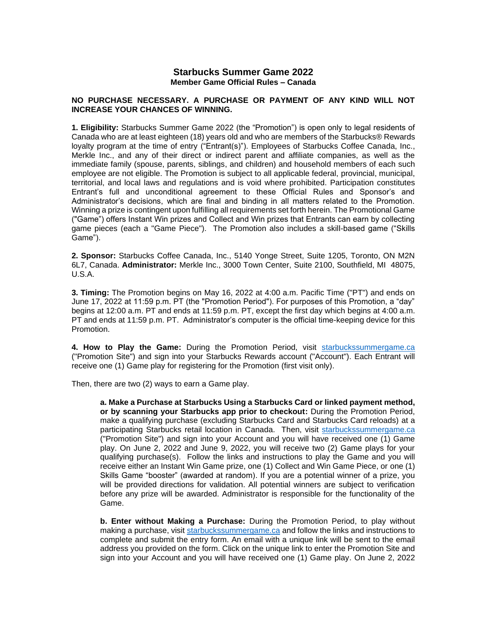# **Starbucks Summer Game 2022 Member Game Official Rules – Canada**

## **NO PURCHASE NECESSARY. A PURCHASE OR PAYMENT OF ANY KIND WILL NOT INCREASE YOUR CHANCES OF WINNING.**

**1. Eligibility:** Starbucks Summer Game 2022 (the "Promotion") is open only to legal residents of Canada who are at least eighteen (18) years old and who are members of the Starbucks® Rewards loyalty program at the time of entry ("Entrant(s)"). Employees of Starbucks Coffee Canada, Inc., Merkle Inc., and any of their direct or indirect parent and affiliate companies, as well as the immediate family (spouse, parents, siblings, and children) and household members of each such employee are not eligible. The Promotion is subject to all applicable federal, provincial, municipal, territorial, and local laws and regulations and is void where prohibited. Participation constitutes Entrant's full and unconditional agreement to these Official Rules and Sponsor's and Administrator's decisions, which are final and binding in all matters related to the Promotion. Winning a prize is contingent upon fulfilling all requirements set forth herein. The Promotional Game ("Game") offers Instant Win prizes and Collect and Win prizes that Entrants can earn by collecting game pieces (each a "Game Piece"). The Promotion also includes a skill-based game ("Skills Game").

**2. Sponsor:** Starbucks Coffee Canada, Inc., 5140 Yonge Street, Suite 1205, Toronto, ON M2N 6L7, Canada. **Administrator:** Merkle Inc., 3000 Town Center, Suite 2100, Southfield, MI 48075, U.S.A.

**3. Timing:** The Promotion begins on May 16, 2022 at 4:00 a.m. Pacific Time ("PT") and ends on June 17, 2022 at 11:59 p.m. PT (the "Promotion Period"). For purposes of this Promotion, a "day" begins at 12:00 a.m. PT and ends at 11:59 p.m. PT, except the first day which begins at 4:00 a.m. PT and ends at 11:59 p.m. PT. Administrator's computer is the official time-keeping device for this Promotion.

**4. How to Play the Game:** During the Promotion Period, visit [starbuckssummergame.ca](https://www.starbuckssummergame.ca/#/) ("Promotion Site") and sign into your Starbucks Rewards account ("Account"). Each Entrant will receive one (1) Game play for registering for the Promotion (first visit only).

Then, there are two (2) ways to earn a Game play.

**a. Make a Purchase at Starbucks Using a Starbucks Card or linked payment method, or by scanning your Starbucks app prior to checkout:** During the Promotion Period, make a qualifying purchase (excluding Starbucks Card and Starbucks Card reloads) at a participating Starbucks retail location in Canada. Then, visit [starbuckssummergame.ca](https://www.starbuckssummergame.ca/#/) ("Promotion Site") and sign into your Account and you will have received one (1) Game play. On June 2, 2022 and June 9, 2022, you will receive two (2) Game plays for your qualifying purchase(s). Follow the links and instructions to play the Game and you will receive either an Instant Win Game prize, one (1) Collect and Win Game Piece, or one (1) Skills Game "booster" (awarded at random). If you are a potential winner of a prize, you will be provided directions for validation. All potential winners are subject to verification before any prize will be awarded. Administrator is responsible for the functionality of the Game.

**b. Enter without Making a Purchase:** During the Promotion Period, to play without making a purchase, visit [starbuckssummergame.ca](https://www.starbuckssummergame.ca/#/) and follow the links and instructions to complete and submit the entry form. An email with a unique link will be sent to the email address you provided on the form. Click on the unique link to enter the Promotion Site and sign into your Account and you will have received one (1) Game play. On June 2, 2022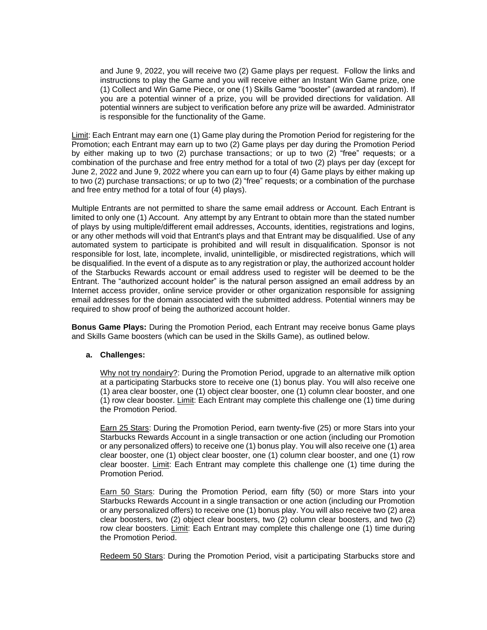and June 9, 2022, you will receive two (2) Game plays per request. Follow the links and instructions to play the Game and you will receive either an Instant Win Game prize, one (1) Collect and Win Game Piece, or one (1) Skills Game "booster" (awarded at random). If you are a potential winner of a prize, you will be provided directions for validation. All potential winners are subject to verification before any prize will be awarded. Administrator is responsible for the functionality of the Game.

Limit: Each Entrant may earn one (1) Game play during the Promotion Period for registering for the Promotion; each Entrant may earn up to two (2) Game plays per day during the Promotion Period by either making up to two (2) purchase transactions; or up to two (2) "free" requests; or a combination of the purchase and free entry method for a total of two (2) plays per day (except for June 2, 2022 and June 9, 2022 where you can earn up to four (4) Game plays by either making up to two (2) purchase transactions; or up to two (2) "free" requests; or a combination of the purchase and free entry method for a total of four (4) plays).

Multiple Entrants are not permitted to share the same email address or Account. Each Entrant is limited to only one (1) Account. Any attempt by any Entrant to obtain more than the stated number of plays by using multiple/different email addresses, Accounts, identities, registrations and logins, or any other methods will void that Entrant's plays and that Entrant may be disqualified. Use of any automated system to participate is prohibited and will result in disqualification. Sponsor is not responsible for lost, late, incomplete, invalid, unintelligible, or misdirected registrations, which will be disqualified. In the event of a dispute as to any registration or play, the authorized account holder of the Starbucks Rewards account or email address used to register will be deemed to be the Entrant. The "authorized account holder" is the natural person assigned an email address by an Internet access provider, online service provider or other organization responsible for assigning email addresses for the domain associated with the submitted address. Potential winners may be required to show proof of being the authorized account holder.

**Bonus Game Plays:** During the Promotion Period, each Entrant may receive bonus Game plays and Skills Game boosters (which can be used in the Skills Game), as outlined below.

## **a. Challenges:**

Why not try nondairy?: During the Promotion Period, upgrade to an alternative milk option at a participating Starbucks store to receive one (1) bonus play. You will also receive one (1) area clear booster, one (1) object clear booster, one (1) column clear booster, and one (1) row clear booster. Limit: Each Entrant may complete this challenge one (1) time during the Promotion Period.

Earn 25 Stars: During the Promotion Period, earn twenty-five (25) or more Stars into your Starbucks Rewards Account in a single transaction or one action (including our Promotion or any personalized offers) to receive one (1) bonus play. You will also receive one (1) area clear booster, one (1) object clear booster, one (1) column clear booster, and one (1) row clear booster. Limit: Each Entrant may complete this challenge one (1) time during the Promotion Period.

Earn 50 Stars: During the Promotion Period, earn fifty (50) or more Stars into your Starbucks Rewards Account in a single transaction or one action (including our Promotion or any personalized offers) to receive one (1) bonus play. You will also receive two (2) area clear boosters, two (2) object clear boosters, two (2) column clear boosters, and two (2) row clear boosters. Limit: Each Entrant may complete this challenge one (1) time during the Promotion Period.

Redeem 50 Stars: During the Promotion Period, visit a participating Starbucks store and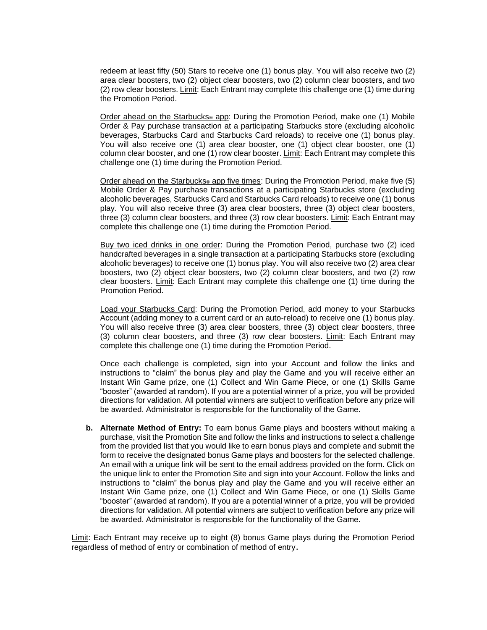redeem at least fifty (50) Stars to receive one (1) bonus play. You will also receive two (2) area clear boosters, two (2) object clear boosters, two (2) column clear boosters, and two (2) row clear boosters. Limit: Each Entrant may complete this challenge one (1) time during the Promotion Period.

Order ahead on the Starbucks® app: During the Promotion Period, make one (1) Mobile Order & Pay purchase transaction at a participating Starbucks store (excluding alcoholic beverages, Starbucks Card and Starbucks Card reloads) to receive one (1) bonus play. You will also receive one (1) area clear booster, one (1) object clear booster, one (1) column clear booster, and one (1) row clear booster. Limit: Each Entrant may complete this challenge one (1) time during the Promotion Period.

Order ahead on the Starbucks® app five times: During the Promotion Period, make five (5) Mobile Order & Pay purchase transactions at a participating Starbucks store (excluding alcoholic beverages, Starbucks Card and Starbucks Card reloads) to receive one (1) bonus play. You will also receive three (3) area clear boosters, three (3) object clear boosters, three (3) column clear boosters, and three (3) row clear boosters. Limit: Each Entrant may complete this challenge one (1) time during the Promotion Period.

Buy two iced drinks in one order: During the Promotion Period, purchase two (2) iced handcrafted beverages in a single transaction at a participating Starbucks store (excluding alcoholic beverages) to receive one (1) bonus play. You will also receive two (2) area clear boosters, two (2) object clear boosters, two (2) column clear boosters, and two (2) row clear boosters. Limit: Each Entrant may complete this challenge one (1) time during the Promotion Period.

Load your Starbucks Card: During the Promotion Period, add money to your Starbucks Account (adding money to a current card or an auto-reload) to receive one (1) bonus play. You will also receive three (3) area clear boosters, three (3) object clear boosters, three (3) column clear boosters, and three (3) row clear boosters. Limit: Each Entrant may complete this challenge one (1) time during the Promotion Period.

Once each challenge is completed, sign into your Account and follow the links and instructions to "claim" the bonus play and play the Game and you will receive either an Instant Win Game prize, one (1) Collect and Win Game Piece, or one (1) Skills Game "booster" (awarded at random). If you are a potential winner of a prize, you will be provided directions for validation. All potential winners are subject to verification before any prize will be awarded. Administrator is responsible for the functionality of the Game.

**b. Alternate Method of Entry:** To earn bonus Game plays and boosters without making a purchase, visit the Promotion Site and follow the links and instructions to select a challenge from the provided list that you would like to earn bonus plays and complete and submit the form to receive the designated bonus Game plays and boosters for the selected challenge. An email with a unique link will be sent to the email address provided on the form. Click on the unique link to enter the Promotion Site and sign into your Account. Follow the links and instructions to "claim" the bonus play and play the Game and you will receive either an Instant Win Game prize, one (1) Collect and Win Game Piece, or one (1) Skills Game "booster" (awarded at random). If you are a potential winner of a prize, you will be provided directions for validation. All potential winners are subject to verification before any prize will be awarded. Administrator is responsible for the functionality of the Game.

Limit: Each Entrant may receive up to eight (8) bonus Game plays during the Promotion Period regardless of method of entry or combination of method of entry.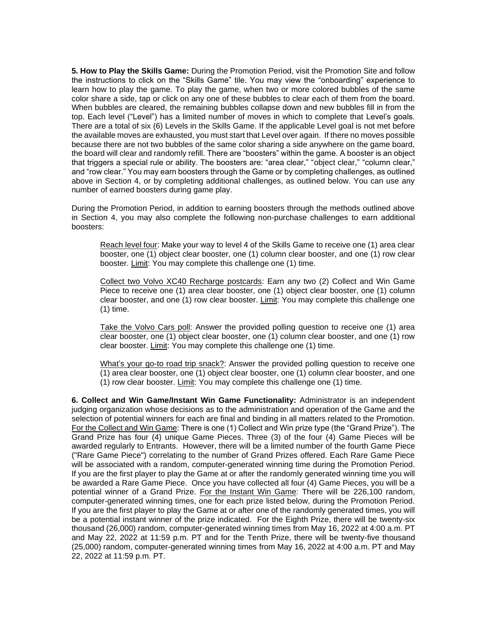**5. How to Play the Skills Game:** During the Promotion Period, visit the Promotion Site and follow the instructions to click on the "Skills Game" tile. You may view the "onboarding" experience to learn how to play the game. To play the game, when two or more colored bubbles of the same color share a side, tap or click on any one of these bubbles to clear each of them from the board. When bubbles are cleared, the remaining bubbles collapse down and new bubbles fill in from the top. Each level ("Level") has a limited number of moves in which to complete that Level's goals. There are a total of six (6) Levels in the Skills Game. If the applicable Level goal is not met before the available moves are exhausted, you must start that Level over again. If there no moves possible because there are not two bubbles of the same color sharing a side anywhere on the game board, the board will clear and randomly refill. There are "boosters" within the game. A booster is an object that triggers a special rule or ability. The boosters are: "area clear," "object clear," "column clear," and "row clear." You may earn boosters through the Game or by completing challenges, as outlined above in Section 4, or by completing additional challenges, as outlined below. You can use any number of earned boosters during game play.

During the Promotion Period, in addition to earning boosters through the methods outlined above in Section 4, you may also complete the following non-purchase challenges to earn additional boosters:

Reach level four: Make your way to level 4 of the Skills Game to receive one (1) area clear booster, one (1) object clear booster, one (1) column clear booster, and one (1) row clear booster. Limit: You may complete this challenge one (1) time.

Collect two Volvo XC40 Recharge postcards: Earn any two (2) Collect and Win Game Piece to receive one (1) area clear booster, one (1) object clear booster, one (1) column clear booster, and one (1) row clear booster. Limit: You may complete this challenge one (1) time.

Take the Volvo Cars poll: Answer the provided polling question to receive one (1) area clear booster, one (1) object clear booster, one (1) column clear booster, and one (1) row clear booster. Limit: You may complete this challenge one (1) time.

What's your go-to road trip snack?: Answer the provided polling question to receive one (1) area clear booster, one (1) object clear booster, one (1) column clear booster, and one (1) row clear booster. Limit: You may complete this challenge one (1) time.

**6. Collect and Win Game/Instant Win Game Functionality:** Administrator is an independent judging organization whose decisions as to the administration and operation of the Game and the selection of potential winners for each are final and binding in all matters related to the Promotion. For the Collect and Win Game: There is one (1) Collect and Win prize type (the "Grand Prize"). The Grand Prize has four (4) unique Game Pieces. Three (3) of the four (4) Game Pieces will be awarded regularly to Entrants. However, there will be a limited number of the fourth Game Piece ("Rare Game Piece") correlating to the number of Grand Prizes offered. Each Rare Game Piece will be associated with a random, computer-generated winning time during the Promotion Period. If you are the first player to play the Game at or after the randomly generated winning time you will be awarded a Rare Game Piece. Once you have collected all four (4) Game Pieces, you will be a potential winner of a Grand Prize. For the Instant Win Game: There will be 226,100 random, computer-generated winning times, one for each prize listed below, during the Promotion Period. If you are the first player to play the Game at or after one of the randomly generated times, you will be a potential instant winner of the prize indicated. For the Eighth Prize, there will be twenty-six thousand (26,000) random, computer-generated winning times from May 16, 2022 at 4:00 a.m. PT and May 22, 2022 at 11:59 p.m. PT and for the Tenth Prize, there will be twenty-five thousand (25,000) random, computer-generated winning times from May 16, 2022 at 4:00 a.m. PT and May 22, 2022 at 11:59 p.m. PT.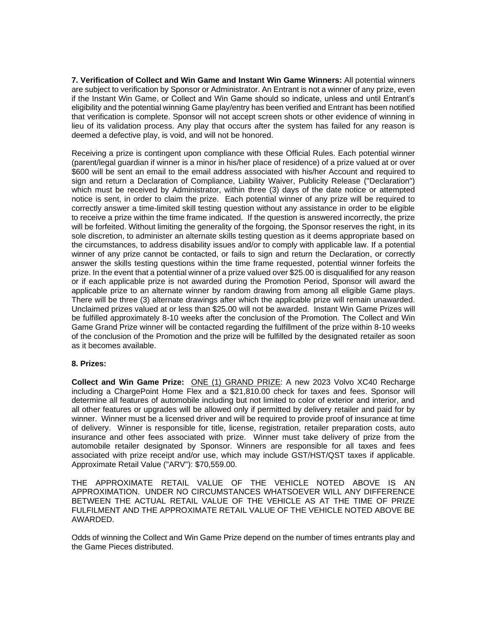**7. Verification of Collect and Win Game and Instant Win Game Winners:** All potential winners are subject to verification by Sponsor or Administrator. An Entrant is not a winner of any prize, even if the Instant Win Game, or Collect and Win Game should so indicate, unless and until Entrant's eligibility and the potential winning Game play/entry has been verified and Entrant has been notified that verification is complete. Sponsor will not accept screen shots or other evidence of winning in lieu of its validation process. Any play that occurs after the system has failed for any reason is deemed a defective play, is void, and will not be honored.

Receiving a prize is contingent upon compliance with these Official Rules. Each potential winner (parent/legal guardian if winner is a minor in his/her place of residence) of a prize valued at or over \$600 will be sent an email to the email address associated with his/her Account and required to sign and return a Declaration of Compliance, Liability Waiver, Publicity Release ("Declaration") which must be received by Administrator, within three (3) days of the date notice or attempted notice is sent, in order to claim the prize. Each potential winner of any prize will be required to correctly answer a time-limited skill testing question without any assistance in order to be eligible to receive a prize within the time frame indicated. If the question is answered incorrectly, the prize will be forfeited. Without limiting the generality of the forgoing, the Sponsor reserves the right, in its sole discretion, to administer an alternate skills testing question as it deems appropriate based on the circumstances, to address disability issues and/or to comply with applicable law. If a potential winner of any prize cannot be contacted, or fails to sign and return the Declaration, or correctly answer the skills testing questions within the time frame requested, potential winner forfeits the prize. In the event that a potential winner of a prize valued over \$25.00 is disqualified for any reason or if each applicable prize is not awarded during the Promotion Period, Sponsor will award the applicable prize to an alternate winner by random drawing from among all eligible Game plays. There will be three (3) alternate drawings after which the applicable prize will remain unawarded. Unclaimed prizes valued at or less than \$25.00 will not be awarded. Instant Win Game Prizes will be fulfilled approximately 8-10 weeks after the conclusion of the Promotion. The Collect and Win Game Grand Prize winner will be contacted regarding the fulfillment of the prize within 8-10 weeks of the conclusion of the Promotion and the prize will be fulfilled by the designated retailer as soon as it becomes available.

## **8. Prizes:**

**Collect and Win Game Prize:** ONE (1) GRAND PRIZE: A new 2023 Volvo XC40 Recharge including a ChargePoint Home Flex and a \$21,810.00 check for taxes and fees. Sponsor will determine all features of automobile including but not limited to color of exterior and interior, and all other features or upgrades will be allowed only if permitted by delivery retailer and paid for by winner. Winner must be a licensed driver and will be required to provide proof of insurance at time of delivery. Winner is responsible for title, license, registration, retailer preparation costs, auto insurance and other fees associated with prize. Winner must take delivery of prize from the automobile retailer designated by Sponsor. Winners are responsible for all taxes and fees associated with prize receipt and/or use, which may include GST/HST/QST taxes if applicable. Approximate Retail Value ("ARV"): \$70,559.00.

THE APPROXIMATE RETAIL VALUE OF THE VEHICLE NOTED ABOVE IS AN APPROXIMATION. UNDER NO CIRCUMSTANCES WHATSOEVER WILL ANY DIFFERENCE BETWEEN THE ACTUAL RETAIL VALUE OF THE VEHICLE AS AT THE TIME OF PRIZE FULFILMENT AND THE APPROXIMATE RETAIL VALUE OF THE VEHICLE NOTED ABOVE BE AWARDED.

Odds of winning the Collect and Win Game Prize depend on the number of times entrants play and the Game Pieces distributed.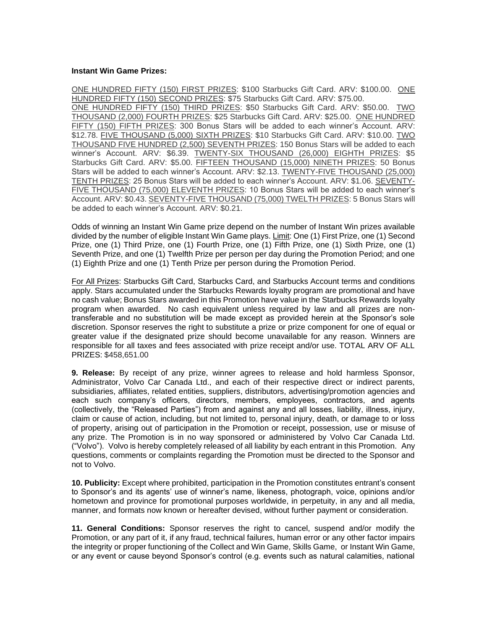#### **Instant Win Game Prizes:**

ONE HUNDRED FIFTY (150) FIRST PRIZES: \$100 Starbucks Gift Card. ARV: \$100.00. ONE HUNDRED FIFTY (150) SECOND PRIZES: \$75 Starbucks Gift Card. ARV: \$75.00. ONE HUNDRED FIFTY (150) THIRD PRIZES: \$50 Starbucks Gift Card. ARV: \$50.00. TWO THOUSAND (2,000) FOURTH PRIZES: \$25 Starbucks Gift Card. ARV: \$25.00. ONE HUNDRED FIFTY (150) FIFTH PRIZES: 300 Bonus Stars will be added to each winner's Account. ARV: \$12.78. FIVE THOUSAND (5,000) SIXTH PRIZES: \$10 Starbucks Gift Card. ARV: \$10.00. TWO THOUSAND FIVE HUNDRED (2,500) SEVENTH PRIZES: 150 Bonus Stars will be added to each winner's Account. ARV: \$6.39. TWENTY-SIX THOUSAND (26,000) EIGHTH PRIZES: \$5 Starbucks Gift Card. ARV: \$5.00. FIFTEEN THOUSAND (15,000) NINETH PRIZES: 50 Bonus Stars will be added to each winner's Account. ARV: \$2.13. TWENTY-FIVE THOUSAND (25,000) TENTH PRIZES: 25 Bonus Stars will be added to each winner's Account. ARV: \$1.06. SEVENTY-FIVE THOUSAND (75,000) ELEVENTH PRIZES: 10 Bonus Stars will be added to each winner's Account. ARV: \$0.43. SEVENTY-FIVE THOUSAND (75,000) TWELTH PRIZES: 5 Bonus Stars will be added to each winner's Account. ARV: \$0.21.

Odds of winning an Instant Win Game prize depend on the number of Instant Win prizes available divided by the number of eligible Instant Win Game plays. Limit: One (1) First Prize, one (1) Second Prize, one (1) Third Prize, one (1) Fourth Prize, one (1) Fifth Prize, one (1) Sixth Prize, one (1) Seventh Prize, and one (1) Twelfth Prize per person per day during the Promotion Period; and one (1) Eighth Prize and one (1) Tenth Prize per person during the Promotion Period.

For All Prizes: Starbucks Gift Card, Starbucks Card, and Starbucks Account terms and conditions apply. Stars accumulated under the Starbucks Rewards loyalty program are promotional and have no cash value; Bonus Stars awarded in this Promotion have value in the Starbucks Rewards loyalty program when awarded. No cash equivalent unless required by law and all prizes are nontransferable and no substitution will be made except as provided herein at the Sponsor's sole discretion. Sponsor reserves the right to substitute a prize or prize component for one of equal or greater value if the designated prize should become unavailable for any reason. Winners are responsible for all taxes and fees associated with prize receipt and/or use. TOTAL ARV OF ALL PRIZES: \$458,651.00

**9. Release:** By receipt of any prize, winner agrees to release and hold harmless Sponsor, Administrator, Volvo Car Canada Ltd., and each of their respective direct or indirect parents, subsidiaries, affiliates, related entities, suppliers, distributors, advertising/promotion agencies and each such company's officers, directors, members, employees, contractors, and agents (collectively, the "Released Parties") from and against any and all losses, liability, illness, injury, claim or cause of action, including, but not limited to, personal injury, death, or damage to or loss of property, arising out of participation in the Promotion or receipt, possession, use or misuse of any prize. The Promotion is in no way sponsored or administered by Volvo Car Canada Ltd. ("Volvo"). Volvo is hereby completely released of all liability by each entrant in this Promotion. Any questions, comments or complaints regarding the Promotion must be directed to the Sponsor and not to Volvo.

**10. Publicity:** Except where prohibited, participation in the Promotion constitutes entrant's consent to Sponsor's and its agents' use of winner's name, likeness, photograph, voice, opinions and/or hometown and province for promotional purposes worldwide, in perpetuity, in any and all media, manner, and formats now known or hereafter devised, without further payment or consideration.

**11. General Conditions:** Sponsor reserves the right to cancel, suspend and/or modify the Promotion, or any part of it, if any fraud, technical failures, human error or any other factor impairs the integrity or proper functioning of the Collect and Win Game, Skills Game, or Instant Win Game, or any event or cause beyond Sponsor's control (e.g. events such as natural calamities, national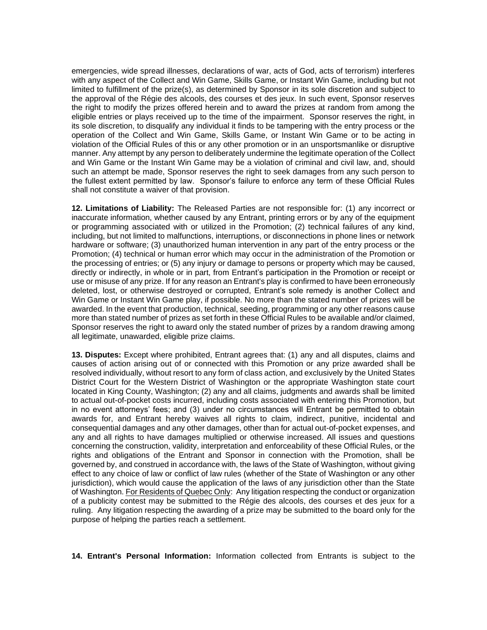emergencies, wide spread illnesses, declarations of war, acts of God, acts of terrorism) interferes with any aspect of the Collect and Win Game, Skills Game, or Instant Win Game, including but not limited to fulfillment of the prize(s), as determined by Sponsor in its sole discretion and subject to the approval of the Régie des alcools, des courses et des jeux. In such event, Sponsor reserves the right to modify the prizes offered herein and to award the prizes at random from among the eligible entries or plays received up to the time of the impairment. Sponsor reserves the right, in its sole discretion, to disqualify any individual it finds to be tampering with the entry process or the operation of the Collect and Win Game, Skills Game, or Instant Win Game or to be acting in violation of the Official Rules of this or any other promotion or in an unsportsmanlike or disruptive manner. Any attempt by any person to deliberately undermine the legitimate operation of the Collect and Win Game or the Instant Win Game may be a violation of criminal and civil law, and, should such an attempt be made, Sponsor reserves the right to seek damages from any such person to the fullest extent permitted by law. Sponsor's failure to enforce any term of these Official Rules shall not constitute a waiver of that provision.

**12. Limitations of Liability:** The Released Parties are not responsible for: (1) any incorrect or inaccurate information, whether caused by any Entrant, printing errors or by any of the equipment or programming associated with or utilized in the Promotion; (2) technical failures of any kind, including, but not limited to malfunctions, interruptions, or disconnections in phone lines or network hardware or software; (3) unauthorized human intervention in any part of the entry process or the Promotion; (4) technical or human error which may occur in the administration of the Promotion or the processing of entries; or (5) any injury or damage to persons or property which may be caused, directly or indirectly, in whole or in part, from Entrant's participation in the Promotion or receipt or use or misuse of any prize. If for any reason an Entrant's play is confirmed to have been erroneously deleted, lost, or otherwise destroyed or corrupted, Entrant's sole remedy is another Collect and Win Game or Instant Win Game play, if possible. No more than the stated number of prizes will be awarded. In the event that production, technical, seeding, programming or any other reasons cause more than stated number of prizes as set forth in these Official Rules to be available and/or claimed, Sponsor reserves the right to award only the stated number of prizes by a random drawing among all legitimate, unawarded, eligible prize claims.

**13. Disputes:** Except where prohibited, Entrant agrees that: (1) any and all disputes, claims and causes of action arising out of or connected with this Promotion or any prize awarded shall be resolved individually, without resort to any form of class action, and exclusively by the United States District Court for the Western District of Washington or the appropriate Washington state court located in King County, Washington; (2) any and all claims, judgments and awards shall be limited to actual out-of-pocket costs incurred, including costs associated with entering this Promotion, but in no event attorneys' fees; and (3) under no circumstances will Entrant be permitted to obtain awards for, and Entrant hereby waives all rights to claim, indirect, punitive, incidental and consequential damages and any other damages, other than for actual out-of-pocket expenses, and any and all rights to have damages multiplied or otherwise increased. All issues and questions concerning the construction, validity, interpretation and enforceability of these Official Rules, or the rights and obligations of the Entrant and Sponsor in connection with the Promotion, shall be governed by, and construed in accordance with, the laws of the State of Washington, without giving effect to any choice of law or conflict of law rules (whether of the State of Washington or any other jurisdiction), which would cause the application of the laws of any jurisdiction other than the State of Washington. For Residents of Quebec Only: Any litigation respecting the conduct or organization of a publicity contest may be submitted to the Régie des alcools, des courses et des jeux for a ruling. Any litigation respecting the awarding of a prize may be submitted to the board only for the purpose of helping the parties reach a settlement.

**14. Entrant's Personal Information:** Information collected from Entrants is subject to the